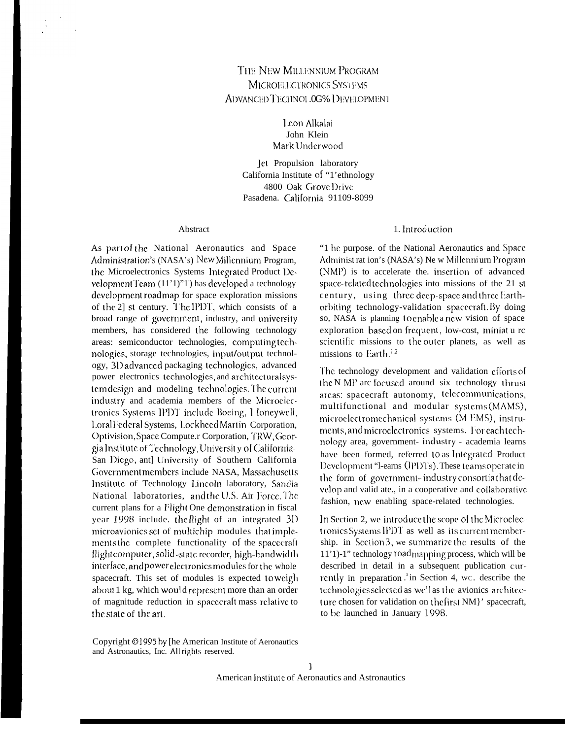# THE NEW MILLENNIUM PROGRAM MICROELECTRONICS SYSTEMS ADVANCED TECHNOL 0G% DEVELOPMENT

Leon Alkalai John Klein Mark Underwood

Jet Propulsion laboratory California Institute of "1'ethnology 4800 Oak Grove Drive Pasadena. California 91109-8099

#### Abstract

As part of the National Aeronautics and Space Administration's (NASA's) New Millennium Program, the Microelectronics Systems Integrated Product Development Team (11'1)"1) has developed a technology development roadmap for space exploration missions of the 2] st century. The IPDT, which consists of a broad range of government, industry, and university members, has considered the following technology areas: semiconductor technologies, computing technologies, storage technologies, input/output technology, 3D advanced packaging technologies, advanced power electronics technologies, and architecturalsystem design and modeling technologies. The current industry and academia members of the Microelectronics Systems IPDT include Boeing, I loneywell, LoralFederal Systems, LockheedMartin Corporation, Optivision, Space Compute.r Corporation, TRW, Georgia Institute of Technology, University of California-San Diego, ant] University of Southern California Government members include NASA, Massachusetts Institute of Technology Lincoln laboratory, Sandia National laboratories, and the U.S. Air Force. The current plans for a Flight One demonstration in fiscal year 1998 include. the flight of an integrated 3D microavionics set of multichip modules that implements the complete functionality of the spacecraft flight computer, solid-state recorder, high-bandwidth interface, and power electronics modules for the whole spacecraft. This set of modules is expected to weigh about 1 kg, which would represent more than an order of magnitude reduction in spacecraft mass relative to the state of the art.

#### 1. Introduction

"1 he purpose. of the National Aeronautics and Space Administ ration's (NASA's) New Millennium Program (NMP) is to accelerate the insertion of advanced space-related technologies into missions of the 21 st century, using three deep-space and three Earthorbiting technology-validation spacecraft. By doing so, NASA is planning to enable a new vision of space exploration based on frequent, low-cost, miniat u re scientific missions to the outer planets, as well as missions to Earth.<sup>1,2</sup>

The technology development and validation efforts of the N MP arc focused around six technology thrust areas: spacecraft autonomy, telecommunications, multifunctional and modular systems (MAMS), microelectromechanical systems (M EMS), instruments, and microelectronics systems. For each technology area, government- industry - academia learns have been formed, referred to as Integrated Product Development "I-earns (IPDTs). These teams operate in the form of government-industry consortiathat develop and valid ate., in a cooperative and collaborative fashion, new enabling space-related technologies.

In Section 2, we introduce the scope of the Microelectronics Systems IPDT as well as its current membership. in Section 3, we summarize the results of the 11'1)-1" technology road mapping process, which will be described in detail in a subsequent publication currently in preparation  $\cdot$  in Section 4, wc. describe the technologies selected as well as the avionics architecture chosen for validation on the first NM}' spacecraft, to be launched in January 1998.

Copyright ©1995 by [he American Institute of Aeronautics and Astronautics, Inc. All rights reserved.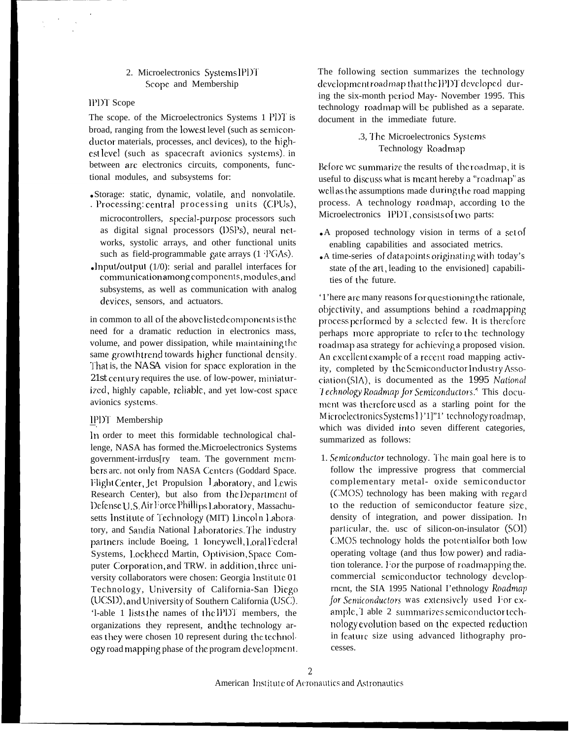# 2. Microelectronics Systems IPDT Scope and Membership

#### IPDT Scope

The scope. of the Microelectronics Systems 1 PDT is broad, ranging from the lowest level (such as semiconductor materials, processes, ancl devices), to the highest level (such as spacecraft avionics systems). in between arc electronics circuits, components, functional modules, and subsystems for:

- ·Storage: static, dynamic, volatile, and nonvolatile.
- . Processing: central processing units (CPUs), microcontrollers, special-purpose processors such as digital signal processors (DSPs), neural networks, systolic arrays, and other functional units such as field-programmable gate arrays  $(1 \text{ } PGAs)$ .
- Input/output  $(1/0)$ : serial and parallel interfaces for communication among components, modules, and subsystems, as well as communication with analog devices, sensors, and actuators.

in common to all of the above listed components is the need for a dramatic reduction in electronics mass, volume, and power dissipation, while maintaining the same growth trend towards higher functional density. That is, the NASA vision for space exploration in the 21st century requires the use. of low-power, miniaturized, highly capable, reliable, and yet low-cost space avionics systems.

#### IPDT Membership

In order to meet this formidable technological challenge, NASA has formed the Microelectronics Systems government-irrdus[ry team. The government mcmbers are. not only from NASA Centers (Goddard Space. Flight Center, Jet Propulsion Laboratory, and Lewis Research Center), but also from the Department of Defense U.S. Air Force Phillips Laboratory, Massachusetts Institute of Technology (MIT) Lincoln Laboratory, and Sandia National Laboratories. The industry partners include Boeing, 1 loneywell, Loral Federal Systems, Lockheed Martin, Optivision, Space Computer Corporation, and TRW. in addition, three university collaborators were chosen: Georgia Institute 01 Technology, University of California-San Diego (UCSD), and University of Southern California (USC). 'l-able 1 lists the names of the IPDT members, the organizations they represent, and the technology areas they were chosen 10 represent during the technology road mapping phase of the program development. The following section summarizes the technology development roadmap that the IPDT developed during the six-month period May- November 1995. This technology roadmap will be published as a separate. document in the immediate future.

> .3, The Microelectronics Systems Technology Roadmap

Before we summarize the results of the roadmap, it is useful to discuss what is meant hereby a "roadmap" as well as the assumptions made during the road mapping process. A technology roadmap, according to the Microelectronics IPDT, consists of two parts:

- A proposed technology vision in terms of a set of enabling capabilities and associated metrics.
- «A time-series of data points originating with today's state of the art, leading to the envisioned capabilities of the future.

'1'here are many reasons for questioning the rationale, objectivity, and assumptions behind a roadmapping process performed by a selected few. It is therefore perhaps more appropriate to refer to the technology roadmap asa strategy for achieving a proposed vision. An excellent example of a recent road mapping activity. completed by the Semiconductor Industry Association(SIA), is documented as the 1995 National Technology Roadmap for Semiconductors.<sup>4</sup> This document was therefore used as a starling point for the Microelectronics Systems 1 }'1]"1' technology roadmap, which was divided into seven different categories, summarized as follows:

1. Semiconductor technology. The main goal here is to follow the impressive progress that commercial complementary metal- oxide semiconductor (CMOS) technology has been making with regard to the reduction of semiconductor feature size. density of integration, and power dissipation. In particular, the. usc of silicon-on-insulator (SOI) CMOS technology holds the potential for both low operating voltage (and thus low power) and radiation tolerance. For the purpose of roadmapping the. commercial semiconductor technology developrncnt, the SIA 1995 National I'ethnology Roadman for Semiconductors was extensively used For example, I able 2 summarizes semiconductor technology evolution based on the expected reduction in feature size using advanced lithography processes.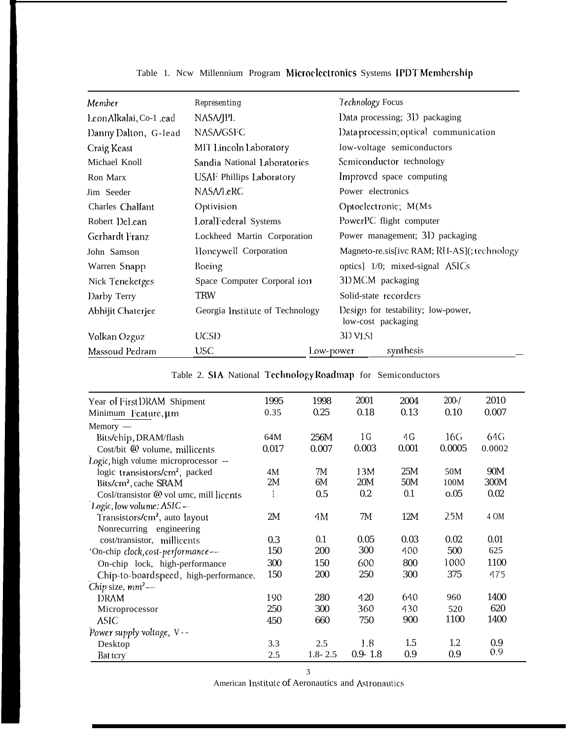| Member                  | Representing                    | Technology Focus                                         |  |  |  |
|-------------------------|---------------------------------|----------------------------------------------------------|--|--|--|
| Leon Alkalai, Co-1 .ead | NASA/JPL                        | Data processing; 3D packaging                            |  |  |  |
| Danny Dalton, G-lead    | <b>NASA/GSFC</b>                | Data processin; optical communication                    |  |  |  |
| Craig Keast             | MIT Lincoln Laboratory          | low-voltage semiconductors                               |  |  |  |
| Michael Knoll           | Sandia National Laboratorics    | Semiconductor technology                                 |  |  |  |
| Ron Marx                | USAF Phillips Laboratory        | Improved space computing                                 |  |  |  |
| Jim Seeder              | <b>NASA/LeRC</b>                | Power electronics                                        |  |  |  |
| Charles Chalfant        | Optivision                      | Optoelectronic; M(Ms                                     |  |  |  |
| Robert Del.ean          | Loral Federal Systems           | PowerPC flight computer                                  |  |  |  |
| Gerhardt Franz          | Lockheed Martin Corporation     | Power management; 31) packaging                          |  |  |  |
| John Samson             | Honcywell Corporation           | Magneto-re.sis[ivc RAM; RH-AS](; technology              |  |  |  |
| Warren Snapp            | Boeing                          | optics] 1/0; mixed-signal ASICs                          |  |  |  |
| Nick Teneketges         | Space Computer Corporal ion     | 31 MCM packaging                                         |  |  |  |
| Darby Terry             | <b>TRW</b>                      | Solid-state recorders                                    |  |  |  |
| Abhijit Chaterjee       | Georgia Institute of Technology | Design for testability; low-power,<br>low-cost packaging |  |  |  |
| Volkan Ozguz            | UCSD                            | 3D VLSI                                                  |  |  |  |
| Massoud Pedram          | <b>USC</b>                      | synthesis<br>Low-power                                   |  |  |  |

# Table 1. New Millennium Program Microelectronics Systems IPDT Membership

| Table 2. SIA National Technology Roadmap for Semiconductors |  |  |  |  |
|-------------------------------------------------------------|--|--|--|--|
|-------------------------------------------------------------|--|--|--|--|

| Year of First DRAM Shipment                | 1995  | 1998        | 2001           | 2004  | $200 - /$ | 2010   |
|--------------------------------------------|-------|-------------|----------------|-------|-----------|--------|
| Minimum Feature, um                        | 0.35  | 0.25        | 0.18           | 0.13  | 0.10      | 0.007  |
| $Memory -$                                 |       |             |                |       |           |        |
| Bits/chip, DRAM/flash                      | 64M   | 256M        | 1 <sub>G</sub> | 4G    | 16G       | 64G    |
| Cost/bit @ volume, millicents              | 0.017 | 0.007       | 0.003          | 0.001 | 0.0005    | 0.0002 |
| Logic, high volume: microprocessor --      |       |             |                |       |           |        |
| logic transistors/cm <sup>2</sup> , packed | 4M    | 7M          | 13M            | 25M   | 50M       | 90M    |
| Bits/cm <sup>2</sup> , cache SRAM          | 2M    | 6M          | 20M            | 50M   | 100M      | 300M   |
| Cosl/transistor @ vol umc, mill licents    |       | 0.5         | 0.2            | 0.1   | 0.05      | 0.02   |
| Logic, low volume: ASIC -                  |       |             |                |       |           |        |
| Transistors/cm <sup>2</sup> , auto layout  | 2M    | 4M          | 7M             | 12M   | 25M       | 4 OM   |
| Nonrecurring engineering                   |       |             |                |       |           |        |
| cost/transistor, millicents                | 0.3   | 0.1         | 0.05           | 0.03  | 0.02      | 0.01   |
| 'On-chip clock, cost-performance--         | 150   | 200         | 300            | 400   | 500       | 625    |
| On-chip lock, high-performance             | 300   | 150         | 600            | 800   | 1000      | 1100   |
| Chip-to-board speed, high-performance.     | 150   | 200         | 250            | 300   | 375       | 475    |
| Chip size, mm <sup>2</sup> -               |       |             |                |       |           |        |
| <b>DRAM</b>                                | 190   | 280         | 420            | 640   | 960       | 1400   |
| Microprocessor                             | 250   | 300         | 360            | 430   | 520       | 620    |
| ASIC.                                      | 450   | 660         | 750            | 900   | 1100      | 1400   |
| Power supply voltage, V--                  |       |             |                |       |           |        |
| Desktop                                    | 3.3   | 2.5         | 1.8            | 1.5   | 1.2       | 0.9    |
| Bat tery                                   | 2.5   | $1.8 - 2.5$ | $0.9 - 1.8$    | 0.9   | 0.9       | 0.9    |

 $\overline{3}$ 

American Institute of Aeronautics and Astronautics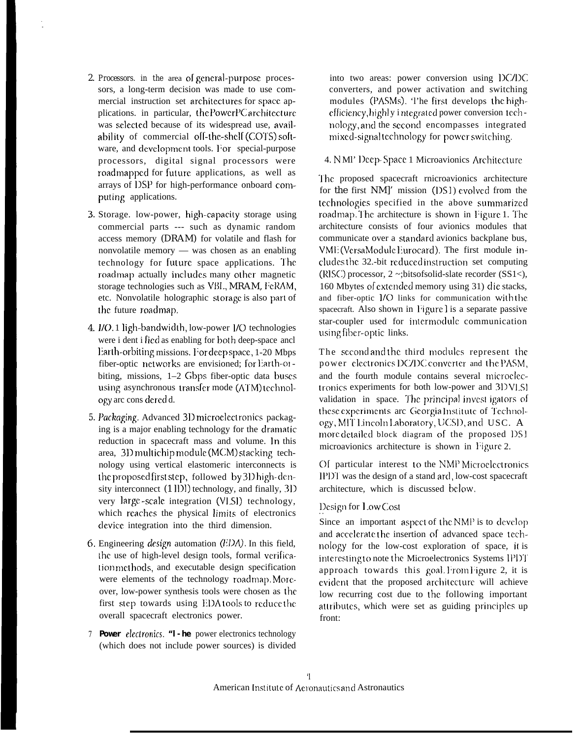- 2. Processors. in the area of general-purpose processors, a long-term decision was made to use commercial instruction set architectures for space applications. in particular, the PowerPC architecture was selected because of its widespread use, availability of commercial off-the-shelf (COTS) software, and development tools. For special-purpose processors, digital signal processors were roadmapped for future applications, as well as arrays of DSP for high-performance onboard computing applications.
- 3. Storage. low-power, high-capacity storage using commercial parts --- such as dynamic random access memory (DRAM) for volatile and flash for nonvolatile memory — was chosen as an enabling technology for future space applications. The roadmap actually includes many other magnetic storage technologies such as VBL, MRAM, FeRAM, etc. Nonvolatile holographic storage is also part of the future roadmap.
- 4. I/O. 1 ligh-bandwidth, low-power I/O technologies were i dent i fied as enabling for both deep-space and Earth-orbiting missions. For deep space, 1-20 Mbps fiber-optic networks are envisioned; for Earth-orbiting, missions, 1-2 Gbps fiber-optic data buses using asynchronous transfer mode (ATM) technology are cons dered d.
- 5. Packaging. Advanced 3D microelectronics packaging is a major enabling technology for the dramatic reduction in spacecraft mass and volume. In this area, 3D multichip module (MCM) stacking technology using vertical elastomeric interconnects is the proposed first step, followed by 31) high-density interconnect (1 ll)l) technology, and finally, 3l) very large-scale integration (VLSI) technology, which reaches the physical limits of electronics device integration into the third dimension.
- 6. Engineering *design* automation  $(EDA)$ . In this field, the use of high-level design tools, formal verification methods, and executable design specification were elements of the technology roadmap. Moreover, low-power synthesis tools were chosen as the first step towards using EDA tools to reduce the overall spacecraft electronics power.
- 7 Power electronics. "I -he power electronics technology (which does not include power sources) is divided

into two areas: power conversion using DC/DC converters, and power activation and switching modules (PASMs). The first develops the highefficiency, highly i ntegrated power conversion technology, and the second encompasses integrated mixed-signal technology for power switching.

### 4. NMI' Deep-Space 1 Microavionics Architecture

The proposed spacecraft rnicroavionics architecture for the first NM]' mission (DS1) evolved from the technologies specified in the above summarized roadmap. The architecture is shown in Figure 1. The architecture consists of four avionics modules that communicate over a standard avionics backplane bus, VME (VersaModule Eurocard). The first module includes the 32.-bit reduced instruction set computing (RISC) processor,  $2 \sim$ ; bitsofsolid-slate recorder (SS1<), 160 Mbytes of extended memory using 31) die stacks, and fiber-optic I/O links for communication with the spacecraft. Also shown in Figure I is a separate passive star-coupler used for intermodule communication using fiber-optic links.

The second and the third modules represent the power electronics DC/DC converter and the PASM, and the fourth module contains several microelectronics experiments for both low-power and 3DVLSI validation in space. The principal invest igators of these experiments are Georgia Institute of Technology, MIT Lincoln Laboratory, UCSD, and USC. A more detailed block diagram of the proposed DS1 microavionics architecture is shown in Figure 2.

Of particular interest to the NMP Microelectronics IPDT was the design of a stand ard, low-cost spacecraft architecture, which is discussed below.

# Design for Low Cost

Since an important aspect of the NMP is to develop and accelerate the insertion of advanced space technology for the low-cost exploration of space, it is interesting to note the Microelectronics Systems IPDT approach towards this goal. From Figure 2, it is evident that the proposed architecture will achieve low recurring cost due to the following important attributes, which were set as guiding principles up front: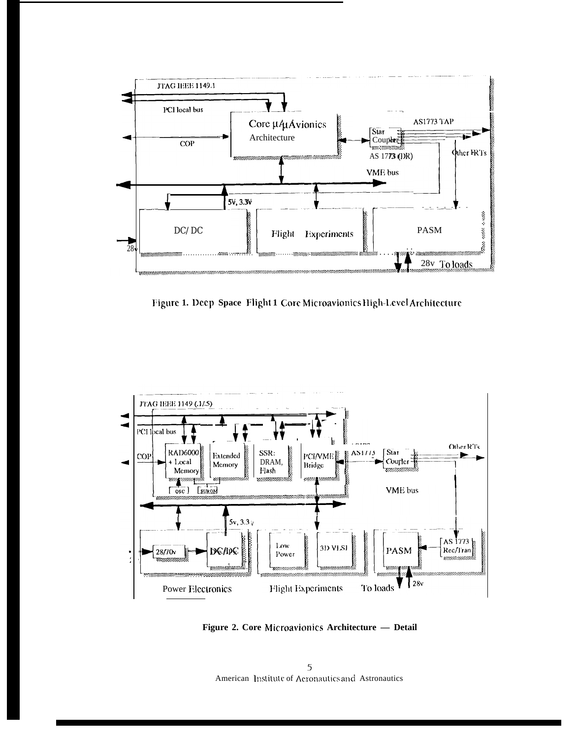

Figure 1. Deep Space Flight 1 Core Microavionics High-Level Architecture



Figure 2. Core Microavionics Architecture - Detail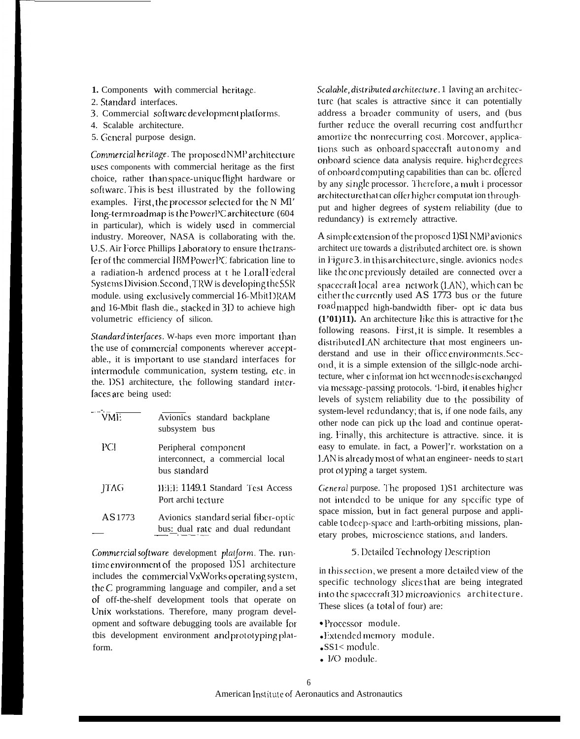- 1. Components with commercial heritage.
- 2. Standard interfaces.
- 3. Commercial software development platforms.
- 4. Scalable architecture.
- 5. General purpose design.

Commercial heritage. The proposed NMP architecture uses components with commercial heritage as the first choice, rather than space-unique flight hardware or software. This is best illustrated by the following examples. First, the processor selected for the N MI' long-term roadmap is the PowerPC architecture (604 in particular), which is widely used in commercial industry. Moreover, NASA is collaborating with the. U.S. Air Force Phillips Laboratory to ensure the transfer of the commercial IBM PowerPC fabrication line to a radiation-h ardened process at t he Lorall'ederal Systems Division. Second, TRW is developing the SSR module. using exclusively commercial 16-Mbit DRAM and 16-Mbit flash die., stacked in 31) to achieve high volumetric efficiency of silicon.

Standard interfaces. W-haps even more important than the use of commercial components wherever acceptable., it is important to use standard interfaces for intermodule communication, system testing, etc. in the. DSI architecture, the following standard interfaces are being used:

| $\sqrt{\text{WME}}$ | Avionics standard backplane<br>subsystem bus                              |
|---------------------|---------------------------------------------------------------------------|
| РCІ                 | Peripheral component<br>interconnect, a commercial local<br>bus standard  |
| <b>TAG</b>          | <b>HEE 1149.1 Standard Test Access</b><br>Port archi tecture              |
| AS 1773             | Avionics standard serial fiber-optic<br>bus: dual rate and dual redundant |

Commercial software development platform. The. runtime environment of the proposed DS1 architecture includes the commercial VxWorks operating system, the C programming language and compiler, and a set of off-the-shelf development tools that operate on Unix workstations. Therefore, many program development and software debugging tools are available for tbis development environment and prototyping platform.

Scalable, distributed architecture. 1 laving an architecture (hat scales is attractive since it can potentially address a broader community of users, and (bus further reduce the overall recurring cost and further amortize the nonrecurring cost. Moreover, applications such as onboard spacecraft autonomy and onboard science data analysis require. higher degrees of onboard computing capabilities than can bc. offered by any single processor. Therefore, a mult i processor architecture that can offer higher computation throughput and higher degrees of system reliability (due to redundancy) is extremely attractive.

A simple extension of the proposed 1) S1 NMP avionics architect ure towards a distributed architect ore. is shown in Figure 3. in this architecture, single. avionics nodes like the one previously detailed are connected over a spacecraft local area network (LAN), which can be either the currently used AS 1773 bus or the future road<sub>mapped</sub> high-bandwidth fiber- opt ic data bus (1'01)11). An architecture like this is attractive for the following reasons. First, it is simple. It resembles a distributed LAN architecture that most engineers understand and use in their office environments. Second, it is a simple extension of the sillglc-node architecture, wher cinformation hct ween nodesis exchanged via message-passing protocols. 'l-bird, it enables higher levels of system reliability due to the possibility of system-level redundancy; that is, if one node fails, any other node can pick up the load and continue operating. Finally, this architecture is attractive. since. it is easy to emulate. in fact, a Power]'r. workstation on a LAN is already most of what an engineer- needs to start prot ot yping a target system.

General purpose. The proposed 1)S1 architecture was not intended to be unique for any specific type of space mission, but in fact general purpose and applicable to deep-space and 1:arth-orbiting missions, planetary probes, microscience stations, and landers.

#### 5. Detailed Technology Description

in this section, we present a more detailed view of the specific technology slices that are being integrated into the spacecraft 3D microavionics architecture. These slices (a total of four) are:

- · Processor module.
- .Extended memory module.
- $-SS1<$  module.
- I/O module.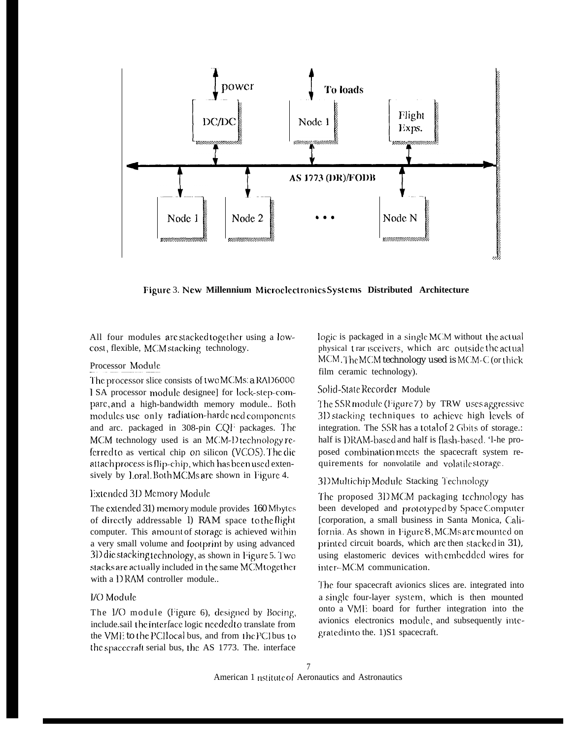

Figure 3. New Millennium Microelectronics Systems Distributed Architecture

All four modules are stacked together using a lowcost, flexible, MCM stacking technology.

### Processor Module

The processor slice consists of two MCMs: a RAD6000 1 SA processor module designee] for lock-step-compare, and a high-bandwidth memory module.. Both modules use only radiation-harde ned components and arc. packaged in 308-pin CQF packages. The MCM technology used is an MCM-D technology referred to as vertical chip on silicon (VCOS). The die attach process is flip-chip, which has been used extensively by Loral. Both MCMs are shown in Figure 4.

# Extended 3D Memory Module

The extended 31) memory module provides 160 Mbytes of directly addressable 1) RAM space to the flight computer. This amount of storage is achieved within a very small volume and footprint by using advanced 3D die stacking technology, as shown in Figure 5. Two stacks are actually included in the same MCM together with a DRAM controller module...

# I/O Module

The I/O module (Figure 6), designed by Boeing, include.sail the interface logic needed to translate from the VME to the PCHocal bus, and from the PCI bus to the spacecraft serial bus, the AS 1773. The. interface

logic is packaged in a single MCM without the actual physical trar isceivers, which are outside the actual MCM, The MCM technology used is MCM-C (or thick film ceramic technology).

# Solid-State Recorder Module

The SSR module (Figure 7) by TRW uses aggressive 3D stacking techniques to achieve high levels of integration. The SSR has a total of 2 Gbits of storage.: half is DRAM-based and half is flash-based. '1-he proposed combination meets the spacecraft system requirements for nonvolatile and volatile storage.

#### 31) Multichip Module Stacking Technology

The proposed 3DMCM packaging technology has been developed and prototyped by Space Computer [corporation, a small business in Santa Monica, California. As shown in Figure 8, MCMs are mounted on printed circuit boards, which are then stacked in 31), using elastomeric devices with embedded wires for inter-MCM communication.

The four spacecraft avionics slices are. integrated into a single four-layer system, which is then mounted onto a VMI: board for further integration into the avionics electronics module, and subsequently integrated into the. 1) S1 spacecraft.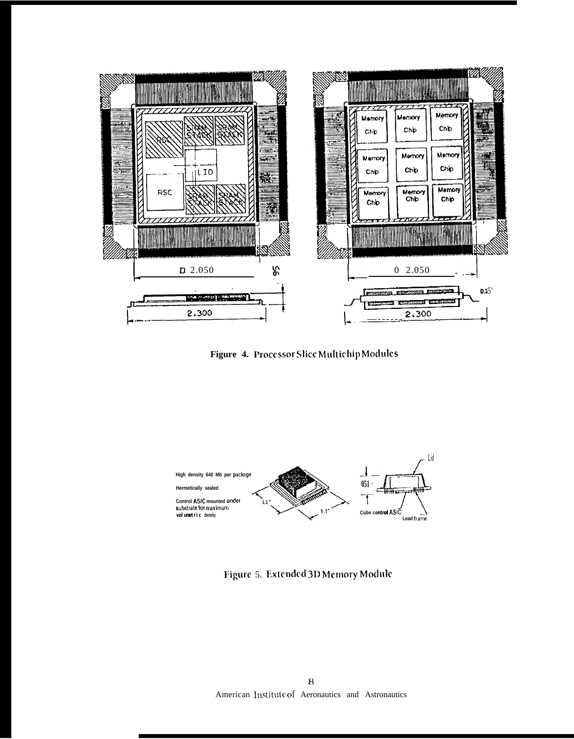

Figure 4. Processor Slice Multichip Modules



Figure 5. Extended 3D Memory Module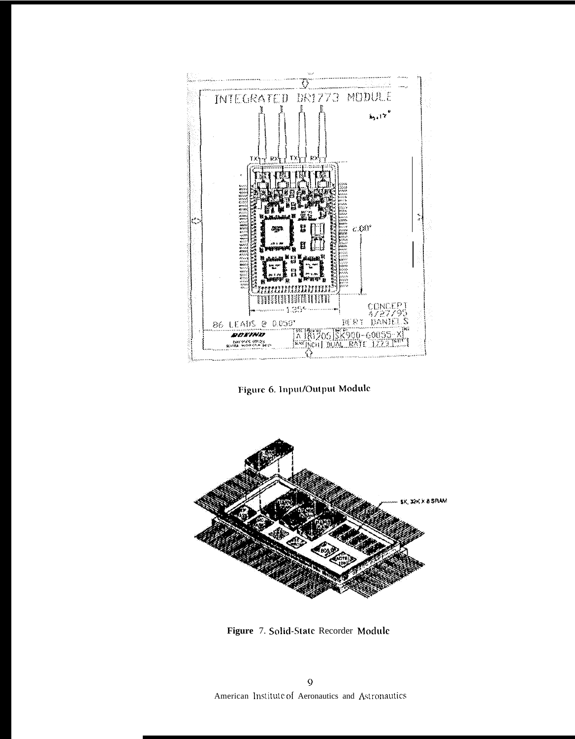

Figure 6. Input/Output Module



Figure 7. Solid-State Recorder Module